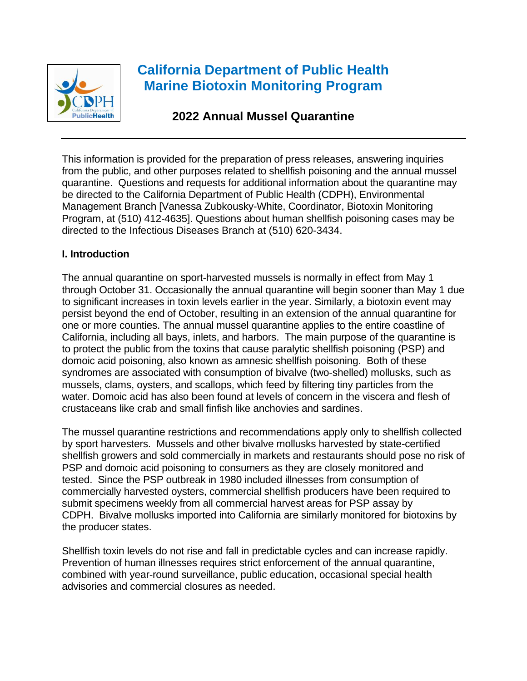

# **California Department of Public Health Marine Biotoxin Monitoring Program**

## **2022 Annual Mussel Quarantine**

This information is provided for the preparation of press releases, answering inquiries from the public, and other purposes related to shellfish poisoning and the annual mussel quarantine. Questions and requests for additional information about the quarantine may be directed to the California Department of Public Health (CDPH), Environmental Management Branch [Vanessa Zubkousky-White, Coordinator, Biotoxin Monitoring Program, at (510) 412-4635]. Questions about human shellfish poisoning cases may be directed to the Infectious Diseases Branch at (510) 620-3434.

#### **I. Introduction**

The annual quarantine on sport-harvested mussels is normally in effect from May 1 through October 31. Occasionally the annual quarantine will begin sooner than May 1 due to significant increases in toxin levels earlier in the year. Similarly, a biotoxin event may persist beyond the end of October, resulting in an extension of the annual quarantine for one or more counties. The annual mussel quarantine applies to the entire coastline of California, including all bays, inlets, and harbors. The main purpose of the quarantine is to protect the public from the toxins that cause paralytic shellfish poisoning (PSP) and domoic acid poisoning, also known as amnesic shellfish poisoning. Both of these syndromes are associated with consumption of bivalve (two-shelled) mollusks, such as mussels, clams, oysters, and scallops, which feed by filtering tiny particles from the water. Domoic acid has also been found at levels of concern in the viscera and flesh of crustaceans like crab and small finfish like anchovies and sardines.

The mussel quarantine restrictions and recommendations apply only to shellfish collected by sport harvesters. Mussels and other bivalve mollusks harvested by state-certified shellfish growers and sold commercially in markets and restaurants should pose no risk of PSP and domoic acid poisoning to consumers as they are closely monitored and tested. Since the PSP outbreak in 1980 included illnesses from consumption of commercially harvested oysters, commercial shellfish producers have been required to submit specimens weekly from all commercial harvest areas for PSP assay by CDPH. Bivalve mollusks imported into California are similarly monitored for biotoxins by the producer states.

Shellfish toxin levels do not rise and fall in predictable cycles and can increase rapidly. Prevention of human illnesses requires strict enforcement of the annual quarantine, combined with year-round surveillance, public education, occasional special health advisories and commercial closures as needed.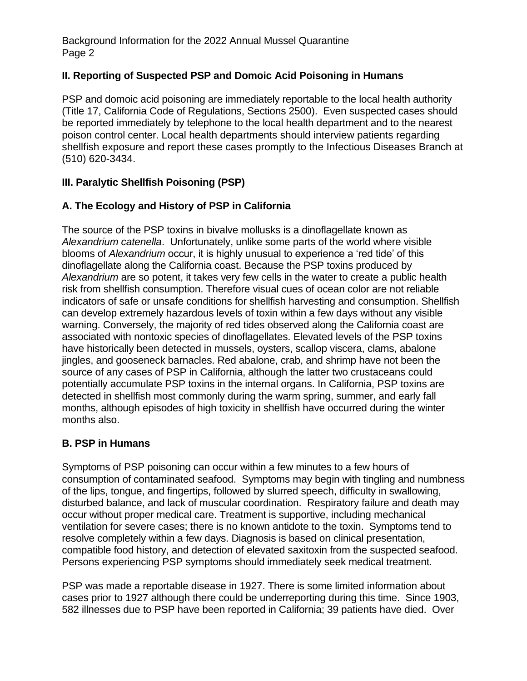#### **II. Reporting of Suspected PSP and Domoic Acid Poisoning in Humans**

PSP and domoic acid poisoning are immediately reportable to the local health authority (Title 17, California Code of Regulations, Sections 2500). Even suspected cases should be reported immediately by telephone to the local health department and to the nearest poison control center. Local health departments should interview patients regarding shellfish exposure and report these cases promptly to the Infectious Diseases Branch at (510) 620-3434.

#### **III. Paralytic Shellfish Poisoning (PSP)**

#### **A. The Ecology and History of PSP in California**

The source of the PSP toxins in bivalve mollusks is a dinoflagellate known as *Alexandrium catenella*. Unfortunately, unlike some parts of the world where visible blooms of *Alexandrium* occur, it is highly unusual to experience a 'red tide' of this dinoflagellate along the California coast. Because the PSP toxins produced by *Alexandrium* are so potent, it takes very few cells in the water to create a public health risk from shellfish consumption. Therefore visual cues of ocean color are not reliable indicators of safe or unsafe conditions for shellfish harvesting and consumption. Shellfish can develop extremely hazardous levels of toxin within a few days without any visible warning. Conversely, the majority of red tides observed along the California coast are associated with nontoxic species of dinoflagellates. Elevated levels of the PSP toxins have historically been detected in mussels, oysters, scallop viscera, clams, abalone jingles, and gooseneck barnacles. Red abalone, crab, and shrimp have not been the source of any cases of PSP in California, although the latter two crustaceans could potentially accumulate PSP toxins in the internal organs. In California, PSP toxins are detected in shellfish most commonly during the warm spring, summer, and early fall months, although episodes of high toxicity in shellfish have occurred during the winter months also.

#### **B. PSP in Humans**

Symptoms of PSP poisoning can occur within a few minutes to a few hours of consumption of contaminated seafood. Symptoms may begin with tingling and numbness of the lips, tongue, and fingertips, followed by slurred speech, difficulty in swallowing, disturbed balance, and lack of muscular coordination. Respiratory failure and death may occur without proper medical care. Treatment is supportive, including mechanical ventilation for severe cases; there is no known antidote to the toxin. Symptoms tend to resolve completely within a few days. Diagnosis is based on clinical presentation, compatible food history, and detection of elevated saxitoxin from the suspected seafood. Persons experiencing PSP symptoms should immediately seek medical treatment.

PSP was made a reportable disease in 1927. There is some limited information about cases prior to 1927 although there could be underreporting during this time. Since 1903, 582 illnesses due to PSP have been reported in California; 39 patients have died. Over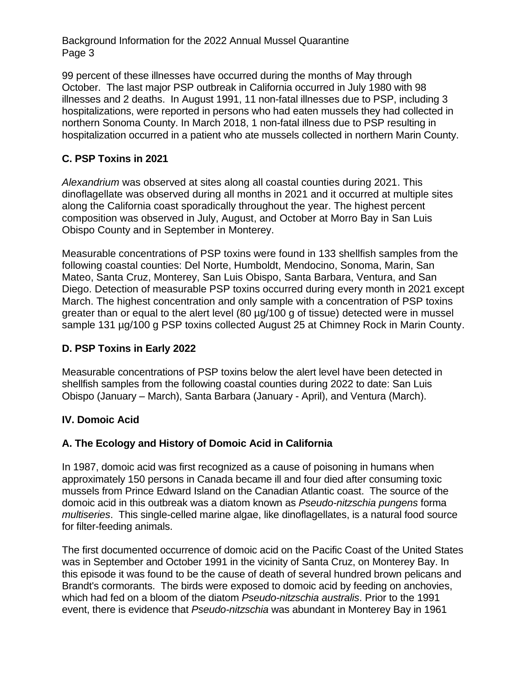99 percent of these illnesses have occurred during the months of May through October. The last major PSP outbreak in California occurred in July 1980 with 98 illnesses and 2 deaths. In August 1991, 11 non-fatal illnesses due to PSP, including 3 hospitalizations, were reported in persons who had eaten mussels they had collected in northern Sonoma County. In March 2018, 1 non-fatal illness due to PSP resulting in hospitalization occurred in a patient who ate mussels collected in northern Marin County.

#### **C. PSP Toxins in 2021**

*Alexandrium* was observed at sites along all coastal counties during 2021. This dinoflagellate was observed during all months in 2021 and it occurred at multiple sites along the California coast sporadically throughout the year. The highest percent composition was observed in July, August, and October at Morro Bay in San Luis Obispo County and in September in Monterey.

Measurable concentrations of PSP toxins were found in 133 shellfish samples from the following coastal counties: Del Norte, Humboldt, Mendocino, Sonoma, Marin, San Mateo, Santa Cruz, Monterey, San Luis Obispo, Santa Barbara, Ventura, and San Diego. Detection of measurable PSP toxins occurred during every month in 2021 except March. The highest concentration and only sample with a concentration of PSP toxins greater than or equal to the alert level (80 µg/100 g of tissue) detected were in mussel sample 131 µg/100 g PSP toxins collected August 25 at Chimney Rock in Marin County.

#### **D. PSP Toxins in Early 2022**

Measurable concentrations of PSP toxins below the alert level have been detected in shellfish samples from the following coastal counties during 2022 to date: San Luis Obispo (January – March), Santa Barbara (January - April), and Ventura (March).

#### **IV. Domoic Acid**

### **A. The Ecology and History of Domoic Acid in California**

In 1987, domoic acid was first recognized as a cause of poisoning in humans when approximately 150 persons in Canada became ill and four died after consuming toxic mussels from Prince Edward Island on the Canadian Atlantic coast. The source of the domoic acid in this outbreak was a diatom known as *Pseudo-nitzschia pungens* forma *multiseries*. This single-celled marine algae, like dinoflagellates, is a natural food source for filter-feeding animals.

The first documented occurrence of domoic acid on the Pacific Coast of the United States was in September and October 1991 in the vicinity of Santa Cruz, on Monterey Bay. In this episode it was found to be the cause of death of several hundred brown pelicans and Brandt's cormorants. The birds were exposed to domoic acid by feeding on anchovies, which had fed on a bloom of the diatom *Pseudo-nitzschia australis*. Prior to the 1991 event, there is evidence that *Pseudo-nitzschia* was abundant in Monterey Bay in 1961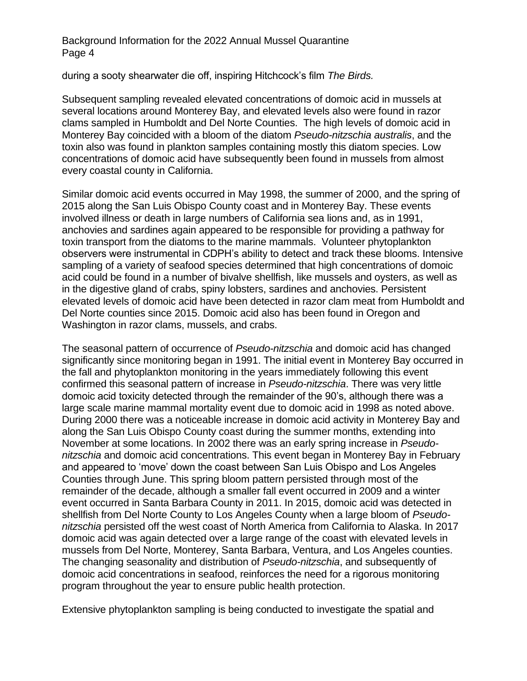during a sooty shearwater die off, inspiring Hitchcock's film *The Birds.*

Subsequent sampling revealed elevated concentrations of domoic acid in mussels at several locations around Monterey Bay, and elevated levels also were found in razor clams sampled in Humboldt and Del Norte Counties. The high levels of domoic acid in Monterey Bay coincided with a bloom of the diatom *Pseudo-nitzschia australis*, and the toxin also was found in plankton samples containing mostly this diatom species. Low concentrations of domoic acid have subsequently been found in mussels from almost every coastal county in California.

Similar domoic acid events occurred in May 1998, the summer of 2000, and the spring of 2015 along the San Luis Obispo County coast and in Monterey Bay. These events involved illness or death in large numbers of California sea lions and, as in 1991, anchovies and sardines again appeared to be responsible for providing a pathway for toxin transport from the diatoms to the marine mammals. Volunteer phytoplankton observers were instrumental in CDPH's ability to detect and track these blooms. Intensive sampling of a variety of seafood species determined that high concentrations of domoic acid could be found in a number of bivalve shellfish, like mussels and oysters, as well as in the digestive gland of crabs, spiny lobsters, sardines and anchovies. Persistent elevated levels of domoic acid have been detected in razor clam meat from Humboldt and Del Norte counties since 2015. Domoic acid also has been found in Oregon and Washington in razor clams, mussels, and crabs.

The seasonal pattern of occurrence of *Pseudo-nitzschia* and domoic acid has changed significantly since monitoring began in 1991. The initial event in Monterey Bay occurred in the fall and phytoplankton monitoring in the years immediately following this event confirmed this seasonal pattern of increase in *Pseudo-nitzschia*. There was very little domoic acid toxicity detected through the remainder of the 90's, although there was a large scale marine mammal mortality event due to domoic acid in 1998 as noted above. During 2000 there was a noticeable increase in domoic acid activity in Monterey Bay and along the San Luis Obispo County coast during the summer months, extending into November at some locations. In 2002 there was an early spring increase in *Pseudonitzschia* and domoic acid concentrations. This event began in Monterey Bay in February and appeared to 'move' down the coast between San Luis Obispo and Los Angeles Counties through June. This spring bloom pattern persisted through most of the remainder of the decade, although a smaller fall event occurred in 2009 and a winter event occurred in Santa Barbara County in 2011. In 2015, domoic acid was detected in shellfish from Del Norte County to Los Angeles County when a large bloom of *Pseudonitzschia* persisted off the west coast of North America from California to Alaska. In 2017 domoic acid was again detected over a large range of the coast with elevated levels in mussels from Del Norte, Monterey, Santa Barbara, Ventura, and Los Angeles counties. The changing seasonality and distribution of *Pseudo-nitzschia*, and subsequently of domoic acid concentrations in seafood, reinforces the need for a rigorous monitoring program throughout the year to ensure public health protection.

Extensive phytoplankton sampling is being conducted to investigate the spatial and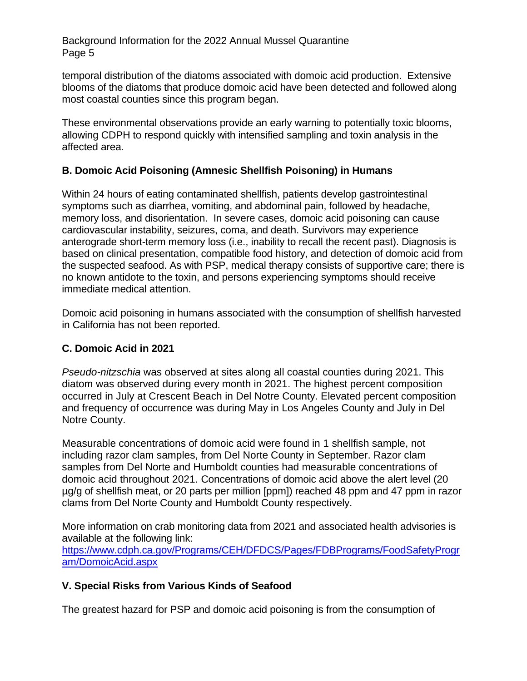temporal distribution of the diatoms associated with domoic acid production. Extensive blooms of the diatoms that produce domoic acid have been detected and followed along most coastal counties since this program began.

These environmental observations provide an early warning to potentially toxic blooms, allowing CDPH to respond quickly with intensified sampling and toxin analysis in the affected area.

#### **B. Domoic Acid Poisoning (Amnesic Shellfish Poisoning) in Humans**

Within 24 hours of eating contaminated shellfish, patients develop gastrointestinal symptoms such as diarrhea, vomiting, and abdominal pain, followed by headache, memory loss, and disorientation. In severe cases, domoic acid poisoning can cause cardiovascular instability, seizures, coma, and death. Survivors may experience anterograde short-term memory loss (i.e., inability to recall the recent past). Diagnosis is based on clinical presentation, compatible food history, and detection of domoic acid from the suspected seafood. As with PSP, medical therapy consists of supportive care; there is no known antidote to the toxin, and persons experiencing symptoms should receive immediate medical attention.

Domoic acid poisoning in humans associated with the consumption of shellfish harvested in California has not been reported.

#### **C. Domoic Acid in 2021**

[am/DomoicAcid.aspx](https://www.cdph.ca.gov/Programs/CEH/DFDCS/Pages/FDBPrograms/FoodSafetyProgram/DomoicAcid.aspx)

*Pseudo-nitzschia* was observed at sites along all coastal counties during 2021. This diatom was observed during every month in 2021. The highest percent composition occurred in July at Crescent Beach in Del Notre County. Elevated percent composition and frequency of occurrence was during May in Los Angeles County and July in Del Notre County.

Measurable concentrations of domoic acid were found in 1 shellfish sample, not including razor clam samples, from Del Norte County in September. Razor clam samples from Del Norte and Humboldt counties had measurable concentrations of domoic acid throughout 2021. Concentrations of domoic acid above the alert level (20 µg/g of shellfish meat, or 20 parts per million [ppm]) reached 48 ppm and 47 ppm in razor clams from Del Norte County and Humboldt County respectively.

More information on crab monitoring data from 2021 and associated health advisories is available at the following link: [https://www.cdph.ca.gov/Programs/CEH/DFDCS/Pages/FDBPrograms/FoodSafetyProgr](https://www.cdph.ca.gov/Programs/CEH/DFDCS/Pages/FDBPrograms/FoodSafetyProgram/DomoicAcid.aspx)

# **V. Special Risks from Various Kinds of Seafood**

The greatest hazard for PSP and domoic acid poisoning is from the consumption of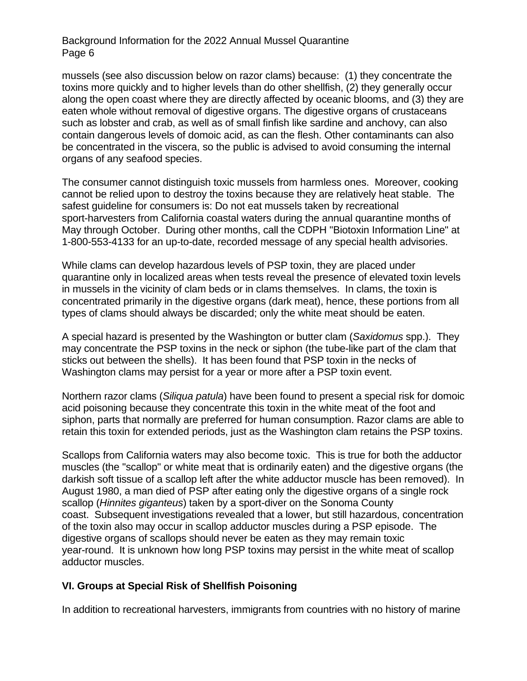mussels (see also discussion below on razor clams) because: (1) they concentrate the toxins more quickly and to higher levels than do other shellfish, (2) they generally occur along the open coast where they are directly affected by oceanic blooms, and (3) they are eaten whole without removal of digestive organs. The digestive organs of crustaceans such as lobster and crab, as well as of small finfish like sardine and anchovy, can also contain dangerous levels of domoic acid, as can the flesh. Other contaminants can also be concentrated in the viscera, so the public is advised to avoid consuming the internal organs of any seafood species.

The consumer cannot distinguish toxic mussels from harmless ones. Moreover, cooking cannot be relied upon to destroy the toxins because they are relatively heat stable. The safest guideline for consumers is: Do not eat mussels taken by recreational sport-harvesters from California coastal waters during the annual quarantine months of May through October. During other months, call the CDPH "Biotoxin Information Line" at 1-800-553-4133 for an up-to-date, recorded message of any special health advisories.

While clams can develop hazardous levels of PSP toxin, they are placed under quarantine only in localized areas when tests reveal the presence of elevated toxin levels in mussels in the vicinity of clam beds or in clams themselves. In clams, the toxin is concentrated primarily in the digestive organs (dark meat), hence, these portions from all types of clams should always be discarded; only the white meat should be eaten.

A special hazard is presented by the Washington or butter clam (*Saxidomus* spp.). They may concentrate the PSP toxins in the neck or siphon (the tube-like part of the clam that sticks out between the shells). It has been found that PSP toxin in the necks of Washington clams may persist for a year or more after a PSP toxin event.

Northern razor clams (*Siliqua patula*) have been found to present a special risk for domoic acid poisoning because they concentrate this toxin in the white meat of the foot and siphon, parts that normally are preferred for human consumption. Razor clams are able to retain this toxin for extended periods, just as the Washington clam retains the PSP toxins.

Scallops from California waters may also become toxic. This is true for both the adductor muscles (the "scallop" or white meat that is ordinarily eaten) and the digestive organs (the darkish soft tissue of a scallop left after the white adductor muscle has been removed). In August 1980, a man died of PSP after eating only the digestive organs of a single rock scallop (*Hinnites giganteus*) taken by a sport-diver on the Sonoma County coast. Subsequent investigations revealed that a lower, but still hazardous, concentration of the toxin also may occur in scallop adductor muscles during a PSP episode. The digestive organs of scallops should never be eaten as they may remain toxic year-round. It is unknown how long PSP toxins may persist in the white meat of scallop adductor muscles.

#### **VI. Groups at Special Risk of Shellfish Poisoning**

In addition to recreational harvesters, immigrants from countries with no history of marine